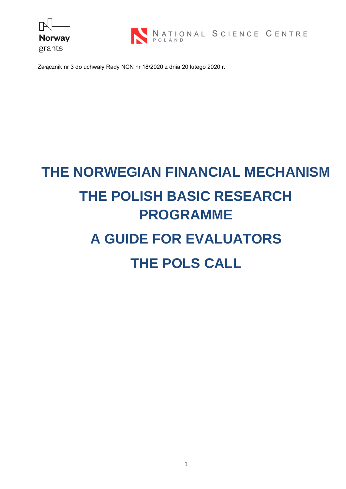



Załącznik nr 3 do uchwały Rady NCN nr 18/2020 z dnia 20 lutego 2020 r.

# **THE NORWEGIAN FINANCIAL MECHANISM THE POLISH BASIC RESEARCH PROGRAMME A GUIDE FOR EVALUATORS**

## **THE POLS CALL**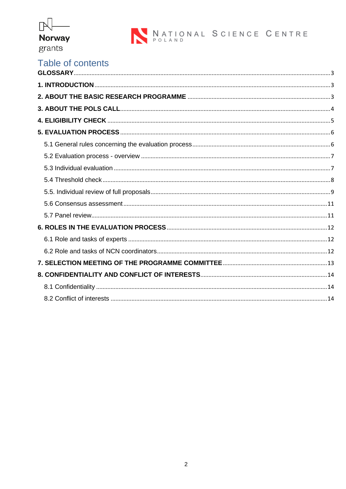

### Table of contents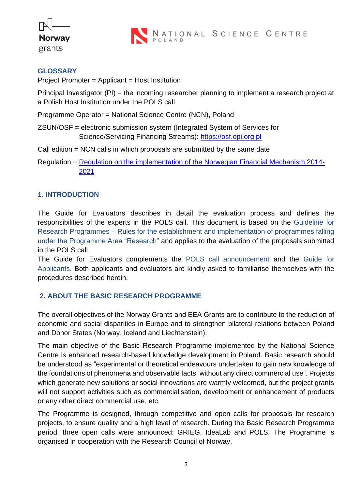



#### <span id="page-2-0"></span>**GLOSSARY**

Project Promoter = Applicant = Host Institution

Principal Investigator (PI) = the incoming researcher planning to implement a research project at a Polish Host Institution under the POLS call

Programme Operator = National Science Centre (NCN), Poland

- ZSUN/OSF = electronic submission system (Integrated System of Services for Science/Servicing Financing Streams): [https://osf.opi.org.pl](https://osf.opi.org.pl/)
- Call edition = NCN calls in which proposals are submitted by the same date
- Regulation = [Regulation on the implementation of the Norwegian](https://www.ncn.gov.pl/sites/default/files/pliki/regulaminy/regulation_on_the_implementation_norwegian_financial_mechanism_2014-2021.pdf) Financial Mechanism 2014- [2021](https://www.ncn.gov.pl/sites/default/files/pliki/regulaminy/regulation_on_the_implementation_norwegian_financial_mechanism_2014-2021.pdf)

#### <span id="page-2-1"></span>**1. INTRODUCTION**

The Guide for Evaluators describes in detail the evaluation process and defines the responsibilities of the experts in the POLS call. This document is based on the Guideline for Research Programmes – Rules for the establishment and implementation of programmes falling under the Programme Area "Research" and applies to the evaluation of the proposals submitted in the POLS call

The Guide for Evaluators complements the POLS call announcement and the Guide for Applicants. Both applicants and evaluators are kindly asked to familiarise themselves with the procedures described herein.

#### <span id="page-2-2"></span>**2. ABOUT THE BASIC RESEARCH PROGRAMME**

The overall objectives of the Norway Grants and EEA Grants are to contribute to the reduction of economic and social disparities in Europe and to strengthen bilateral relations between Poland and Donor States (Norway, Iceland and Liechtenstein).

The main objective of the Basic Research Programme implemented by the National Science Centre is enhanced research-based knowledge development in Poland. Basic research should be understood as "experimental or theoretical endeavours undertaken to gain new knowledge of the foundations of phenomena and observable facts, without any direct commercial use". Projects which generate new solutions or social innovations are warmly welcomed, but the project grants will not support activities such as commercialisation, development or enhancement of products or any other direct commercial use, etc.

The Programme is designed, through competitive and open calls for proposals for research projects, to ensure quality and a high level of research. During the Basic Research Programme period, three open calls were announced: GRIEG, IdeaLab and POLS. The Programme is organised in cooperation with the Research Council of Norway.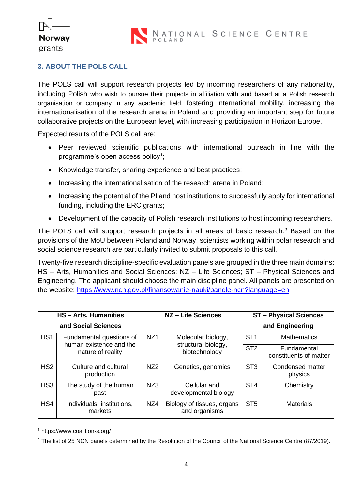**Norway** grants

#### <span id="page-3-0"></span>**3. ABOUT THE POLS CALL**

The POLS call will support research projects led by incoming researchers of any nationality, including Polish who wish to pursue their projects in affiliation with and based at a Polish research organisation or company in any academic field, fostering international mobility, increasing the internationalisation of the research arena in Poland and providing an important step for future collaborative projects on the European level, with increasing participation in Horizon Europe.

Expected results of the POLS call are:

- Peer reviewed scientific publications with international outreach in line with the programme's open access policy $^1;$
- Knowledge transfer, sharing experience and best practices;
- Increasing the internationalisation of the research arena in Poland;
- Increasing the potential of the PI and host institutions to successfully apply for international funding, including the ERC grants;
- Development of the capacity of Polish research institutions to host incoming researchers.

The POLS call will support research projects in all areas of basic research. <sup>2</sup> Based on the provisions of the MoU between Poland and Norway, scientists working within polar research and social science research are particularly invited to submit proposals to this call.

Twenty-five research discipline-specific evaluation panels are grouped in the three main domains: HS – Arts, Humanities and Social Sciences; NZ – Life Sciences; ST – Physical Sciences and Engineering. The applicant should choose the main discipline panel. All panels are presented on the website:<https://www.ncn.gov.pl/finansowanie-nauki/panele-ncn?language=en>

| <b>HS-Arts, Humanities</b> |                                                                                                                                                           | NZ - Life Sciences |                                             | <b>ST-Physical Sciences</b> |                                       |
|----------------------------|-----------------------------------------------------------------------------------------------------------------------------------------------------------|--------------------|---------------------------------------------|-----------------------------|---------------------------------------|
| and Social Sciences        |                                                                                                                                                           |                    |                                             | and Engineering             |                                       |
| HS <sub>1</sub>            | NZ <sub>1</sub><br>Molecular biology,<br>Fundamental questions of<br>human existence and the<br>structural biology,<br>biotechnology<br>nature of reality |                    | ST <sub>1</sub>                             | <b>Mathematics</b>          |                                       |
|                            |                                                                                                                                                           |                    |                                             | ST <sub>2</sub>             | Fundamental<br>constituents of matter |
| HS <sub>2</sub>            | Culture and cultural<br>production                                                                                                                        | NZ <sub>2</sub>    | Genetics, genomics                          | ST <sub>3</sub>             | Condensed matter<br>physics           |
| HS <sub>3</sub>            | The study of the human<br>past                                                                                                                            | NZ3                | Cellular and<br>developmental biology       | ST <sub>4</sub>             | Chemistry                             |
| HS4                        | Individuals, institutions,<br>markets                                                                                                                     | NZ4                | Biology of tissues, organs<br>and organisms | ST <sub>5</sub>             | <b>Materials</b>                      |

<sup>1</sup> https://www.coalition-s.org/

<sup>&</sup>lt;sup>2</sup> The list of 25 NCN panels determined by the Resolution of the Council of the National Science Centre (87/2019).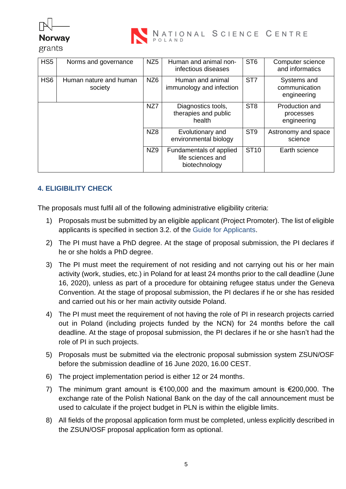



grants

| HS <sub>5</sub> | Norms and governance              | NZ <sub>5</sub> | Human and animal non-<br>infectious diseases                  | ST <sub>6</sub> | Computer science<br>and informatics         |
|-----------------|-----------------------------------|-----------------|---------------------------------------------------------------|-----------------|---------------------------------------------|
| HS <sub>6</sub> | Human nature and human<br>society | NZ <sub>6</sub> | Human and animal<br>immunology and infection                  | ST <sub>7</sub> | Systems and<br>communication<br>engineering |
|                 |                                   | NZ7             | Diagnostics tools,<br>therapies and public<br>health          | ST <sub>8</sub> | Production and<br>processes<br>engineering  |
|                 |                                   | NZ <sub>8</sub> | Evolutionary and<br>environmental biology                     | ST <sub>9</sub> | Astronomy and space<br>science              |
|                 |                                   | NZ9             | Fundamentals of applied<br>life sciences and<br>biotechnology | <b>ST10</b>     | Earth science                               |

#### <span id="page-4-0"></span>**4. ELIGIBILITY CHECK**

The proposals must fulfil all of the following administrative eligibility criteria:

- 1) Proposals must be submitted by an eligible applicant (Project Promoter). The list of eligible applicants is specified in section 3.2. of the Guide for Applicants.
- 2) The PI must have a PhD degree. At the stage of proposal submission, the PI declares if he or she holds a PhD degree.
- 3) The PI must meet the requirement of not residing and not carrying out his or her main activity (work, studies, etc.) in Poland for at least 24 months prior to the call deadline (June 16, 2020), unless as part of a procedure for obtaining refugee status under the Geneva Convention. At the stage of proposal submission, the PI declares if he or she has resided and carried out his or her main activity outside Poland.
- 4) The PI must meet the requirement of not having the role of PI in research projects carried out in Poland (including projects funded by the NCN) for 24 months before the call deadline. At the stage of proposal submission, the PI declares if he or she hasn't had the role of PI in such projects.
- 5) Proposals must be submitted via the electronic proposal submission system ZSUN/OSF before the submission deadline of 16 June 2020, 16.00 CEST.
- 6) The project implementation period is either 12 or 24 months.
- 7) The minimum grant amount is €100,000 and the maximum amount is €200,000. The exchange rate of the Polish National Bank on the day of the call announcement must be used to calculate if the project budget in PLN is within the eligible limits.
- 8) All fields of the proposal application form must be completed, unless explicitly described in the ZSUN/OSF proposal application form as optional.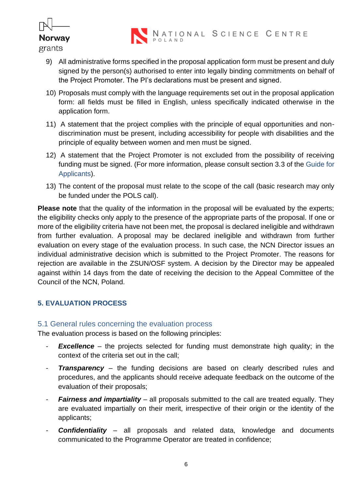

- 9) All administrative forms specified in the proposal application form must be present and duly signed by the person(s) authorised to enter into legally binding commitments on behalf of the Project Promoter. The PI's declarations must be present and signed.
- 10) Proposals must comply with the language requirements set out in the proposal application form: all fields must be filled in English, unless specifically indicated otherwise in the application form.
- 11) A statement that the project complies with the principle of equal opportunities and nondiscrimination must be present, including accessibility for people with disabilities and the principle of equality between women and men must be signed.
- 12) A statement that the Project Promoter is not excluded from the possibility of receiving funding must be signed. (For more information, please consult section 3.3 of the Guide for Applicants).
- 13) The content of the proposal must relate to the scope of the call (basic research may only be funded under the POLS call).

**Please note** that the quality of the information in the proposal will be evaluated by the experts; the eligibility checks only apply to the presence of the appropriate parts of the proposal. If one or more of the eligibility criteria have not been met, the proposal is declared ineligible and withdrawn from further evaluation. A proposal may be declared ineligible and withdrawn from further evaluation on every stage of the evaluation process. In such case, the NCN Director issues an individual administrative decision which is submitted to the Project Promoter. The reasons for rejection are available in the ZSUN/OSF system. A decision by the Director may be appealed against within 14 days from the date of receiving the decision to the Appeal Committee of the Council of the NCN, Poland.

#### <span id="page-5-0"></span>**5. EVALUATION PROCESS**

#### <span id="page-5-1"></span>5.1 General rules concerning the evaluation process

The evaluation process is based on the following principles:

- **Excellence** the projects selected for funding must demonstrate high quality; in the context of the criteria set out in the call;
- **Transparency** the funding decisions are based on clearly described rules and procedures, and the applicants should receive adequate feedback on the outcome of the evaluation of their proposals;
- **Fairness and impartiality** all proposals submitted to the call are treated equally. They are evaluated impartially on their merit, irrespective of their origin or the identity of the applicants;
- **Confidentiality** all proposals and related data, knowledge and documents communicated to the Programme Operator are treated in confidence;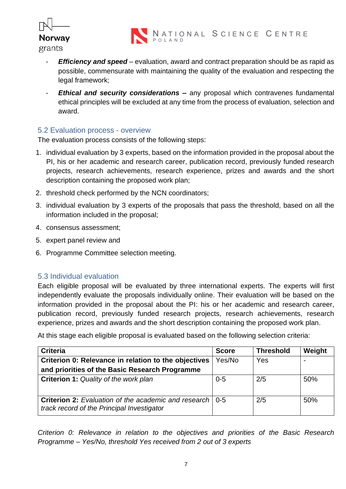

- *Efficiency and speed* evaluation, award and contract preparation should be as rapid as possible, commensurate with maintaining the quality of the evaluation and respecting the legal framework;
- **Ethical and security considerations –** any proposal which contravenes fundamental ethical principles will be excluded at any time from the process of evaluation, selection and award.

#### <span id="page-6-0"></span>5.2 Evaluation process - overview

The evaluation process consists of the following steps:

- 1. individual evaluation by 3 experts, based on the information provided in the proposal about the PI, his or her academic and research career, publication record, previously funded research projects, research achievements, research experience, prizes and awards and the short description containing the proposed work plan;
- 2. threshold check performed by the NCN coordinators;
- 3. individual evaluation by 3 experts of the proposals that pass the threshold, based on all the information included in the proposal;
- 4. consensus assessment;
- 5. expert panel review and
- 6. Programme Committee selection meeting.

#### <span id="page-6-1"></span>5.3 Individual evaluation

Each eligible proposal will be evaluated by three international experts. The experts will first independently evaluate the proposals individually online. Their evaluation will be based on the information provided in the proposal about the PI: his or her academic and research career, publication record, previously funded research projects, research achievements, research experience, prizes and awards and the short description containing the proposed work plan.

At this stage each eligible proposal is evaluated based on the following selection criteria:

| <b>Criteria</b>                                                                                                 | <b>Score</b> | <b>Threshold</b> | Weight |
|-----------------------------------------------------------------------------------------------------------------|--------------|------------------|--------|
| Criterion 0: Relevance in relation to the objectives                                                            | Yes/No       | Yes              |        |
| and priorities of the Basic Research Programme                                                                  |              |                  |        |
| <b>Criterion 1: Quality of the work plan</b>                                                                    | $0 - 5$      | 2/5              | 50%    |
| <b>Criterion 2:</b> Evaluation of the academic and research   0-5<br>track record of the Principal Investigator |              | 2/5              | 50%    |

*Criterion 0: Relevance in relation to the objectives and priorities of the Basic Research Programme – Yes/No, threshold Yes received from 2 out of 3 experts*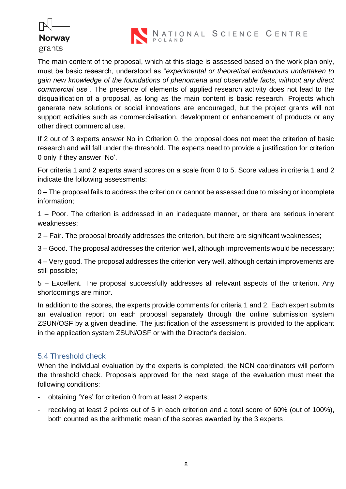



The main content of the proposal, which at this stage is assessed based on the work plan only, must be basic research, understood as "*experimental or theoretical endeavours undertaken to gain new knowledge of the foundations of phenomena and observable facts, without any direct commercial use"*. The presence of elements of applied research activity does not lead to the disqualification of a proposal, as long as the main content is basic research. Projects which generate new solutions or social innovations are encouraged, but the project grants will not support activities such as commercialisation, development or enhancement of products or any other direct commercial use.

If 2 out of 3 experts answer No in Criterion 0, the proposal does not meet the criterion of basic research and will fall under the threshold. The experts need to provide a justification for criterion 0 only if they answer 'No'.

For criteria 1 and 2 experts award scores on a scale from 0 to 5. Score values in criteria 1 and 2 indicate the following assessments:

0 – The proposal fails to address the criterion or cannot be assessed due to missing or incomplete information;

1 – Poor. The criterion is addressed in an inadequate manner, or there are serious inherent weaknesses;

2 – Fair. The proposal broadly addresses the criterion, but there are significant weaknesses;

3 – Good. The proposal addresses the criterion well, although improvements would be necessary;

4 – Very good. The proposal addresses the criterion very well, although certain improvements are still possible;

5 – Excellent. The proposal successfully addresses all relevant aspects of the criterion. Any shortcomings are minor.

In addition to the scores, the experts provide comments for criteria 1 and 2. Each expert submits an evaluation report on each proposal separately through the online submission system ZSUN/OSF by a given deadline. The justification of the assessment is provided to the applicant in the application system ZSUN/OSF or with the Director's decision.

#### <span id="page-7-0"></span>5.4 Threshold check

When the individual evaluation by the experts is completed, the NCN coordinators will perform the threshold check. Proposals approved for the next stage of the evaluation must meet the following conditions:

- obtaining 'Yes' for criterion 0 from at least 2 experts;
- receiving at least 2 points out of 5 in each criterion and a total score of 60% (out of 100%), both counted as the arithmetic mean of the scores awarded by the 3 experts.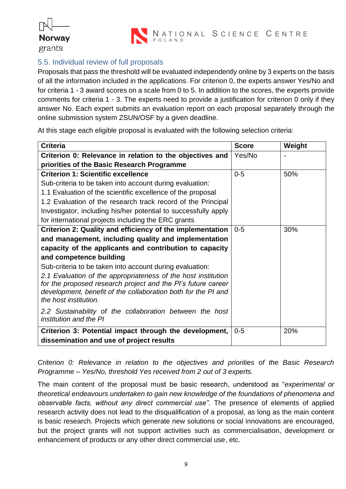



#### <span id="page-8-0"></span>5.5. Individual review of full proposals

Proposals that pass the threshold will be evaluated independently online by 3 experts on the basis of all the information included in the applications. For criterion 0, the experts answer Yes/No and for criteria 1 - 3 award scores on a scale from 0 to 5. In addition to the scores, the experts provide comments for criteria 1 - 3. The experts need to provide a justification for criterion 0 only if they answer No. Each expert submits an evaluation report on each proposal separately through the online submission system ZSUN/OSF by a given deadline.

At this stage each eligible proposal is evaluated with the following selection criteria:

| <b>Criteria</b>                                                                        | <b>Score</b> | Weight |
|----------------------------------------------------------------------------------------|--------------|--------|
| Criterion 0: Relevance in relation to the objectives and                               | Yes/No       |        |
| priorities of the Basic Research Programme                                             |              |        |
| <b>Criterion 1: Scientific excellence</b>                                              | $0 - 5$      | 50%    |
| Sub-criteria to be taken into account during evaluation:                               |              |        |
| 1.1 Evaluation of the scientific excellence of the proposal                            |              |        |
| 1.2 Evaluation of the research track record of the Principal                           |              |        |
| Investigator, including his/her potential to successfully apply                        |              |        |
| for international projects including the ERC grants                                    |              |        |
| Criterion 2: Quality and efficiency of the implementation                              | $0 - 5$      | 30%    |
| and management, including quality and implementation                                   |              |        |
| capacity of the applicants and contribution to capacity                                |              |        |
| and competence building                                                                |              |        |
| Sub-criteria to be taken into account during evaluation:                               |              |        |
| 2.1 Evaluation of the appropriateness of the host institution                          |              |        |
| for the proposed research project and the PI's future career                           |              |        |
| development, benefit of the collaboration both for the PI and<br>the host institution. |              |        |
|                                                                                        |              |        |
| 2.2 Sustainability of the collaboration between the host<br>institution and the PI     |              |        |
| Criterion 3: Potential impact through the development,                                 | $0 - 5$      | 20%    |
| dissemination and use of project results                                               |              |        |

*Criterion 0: Relevance in relation to the objectives and priorities of the Basic Research Programme – Yes/No, threshold Yes received from 2 out of 3 experts.*

The main content of the proposal must be basic research, understood as "*experimental or theoretical endeavours undertaken to gain new knowledge of the foundations of phenomena and observable facts, without any direct commercial use"*. The presence of elements of applied research activity does not lead to the disqualification of a proposal, as long as the main content is basic research. Projects which generate new solutions or social innovations are encouraged, but the project grants will not support activities such as commercialisation, development or enhancement of products or any other direct commercial use, etc.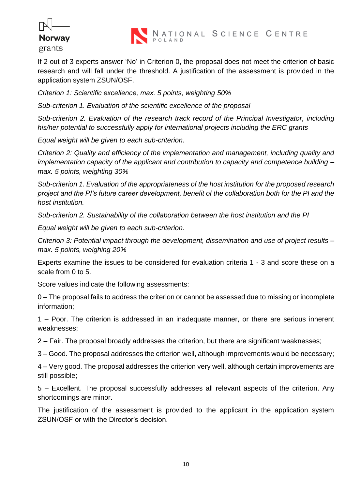

If 2 out of 3 experts answer 'No' in Criterion 0, the proposal does not meet the criterion of basic research and will fall under the threshold. A justification of the assessment is provided in the application system ZSUN/OSF.

*Criterion 1: Scientific excellence, max. 5 points, weighting 50%*

*Sub-criterion 1. Evaluation of the scientific excellence of the proposal*

*Sub-criterion 2. Evaluation of the research track record of the Principal Investigator, including his/her potential to successfully apply for international projects including the ERC grants*

*Equal weight will be given to each sub-criterion.* 

*Criterion 2: Quality and efficiency of the implementation and management, including quality and implementation capacity of the applicant and contribution to capacity and competence building – max. 5 points, weighting 30%*

*Sub-criterion 1. Evaluation of the appropriateness of the host institution for the proposed research project and the PI's future career development, benefit of the collaboration both for the PI and the host institution.*

*Sub-criterion 2. Sustainability of the collaboration between the host institution and the PI*

*Equal weight will be given to each sub-criterion.*

*Criterion 3: Potential impact through the development, dissemination and use of project results – max. 5 points, weighing 20%*

Experts examine the issues to be considered for evaluation criteria 1 - 3 and score these on a scale from 0 to 5.

Score values indicate the following assessments:

0 – The proposal fails to address the criterion or cannot be assessed due to missing or incomplete information;

1 – Poor. The criterion is addressed in an inadequate manner, or there are serious inherent weaknesses;

2 – Fair. The proposal broadly addresses the criterion, but there are significant weaknesses;

3 – Good. The proposal addresses the criterion well, although improvements would be necessary;

4 – Very good. The proposal addresses the criterion very well, although certain improvements are still possible;

5 – Excellent. The proposal successfully addresses all relevant aspects of the criterion. Any shortcomings are minor.

The justification of the assessment is provided to the applicant in the application system ZSUN/OSF or with the Director's decision.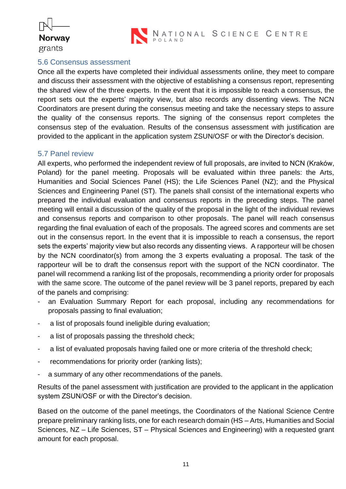

NATIONAL SCIENCE CENTRE

#### <span id="page-10-0"></span>5.6 Consensus assessment

Once all the experts have completed their individual assessments online, they meet to compare and discuss their assessment with the objective of establishing a consensus report, representing the shared view of the three experts. In the event that it is impossible to reach a consensus, the report sets out the experts' majority view, but also records any dissenting views. The NCN Coordinators are present during the consensus meeting and take the necessary steps to assure the quality of the consensus reports. The signing of the consensus report completes the consensus step of the evaluation. Results of the consensus assessment with justification are provided to the applicant in the application system ZSUN/OSF or with the Director's decision.

#### <span id="page-10-1"></span>5.7 Panel review

All experts, who performed the independent review of full proposals, are invited to NCN (Kraków, Poland) for the panel meeting. Proposals will be evaluated within three panels: the Arts, Humanities and Social Sciences Panel (HS); the Life Sciences Panel (NZ); and the Physical Sciences and Engineering Panel (ST). The panels shall consist of the international experts who prepared the individual evaluation and consensus reports in the preceding steps. The panel meeting will entail a discussion of the quality of the proposal in the light of the individual reviews and consensus reports and comparison to other proposals. The panel will reach consensus regarding the final evaluation of each of the proposals. The agreed scores and comments are set out in the consensus report. In the event that it is impossible to reach a consensus, the report sets the experts' majority view but also records any dissenting views. A rapporteur will be chosen by the NCN coordinator(s) from among the 3 experts evaluating a proposal. The task of the rapporteur will be to draft the consensus report with the support of the NCN coordinator. The panel will recommend a ranking list of the proposals, recommending a priority order for proposals with the same score. The outcome of the panel review will be 3 panel reports, prepared by each of the panels and comprising:

- an Evaluation Summary Report for each proposal, including any recommendations for proposals passing to final evaluation;
- a list of proposals found ineligible during evaluation;
- a list of proposals passing the threshold check;
- a list of evaluated proposals having failed one or more criteria of the threshold check;
- recommendations for priority order (ranking lists);
- a summary of any other recommendations of the panels.

Results of the panel assessment with justification are provided to the applicant in the application system ZSUN/OSF or with the Director's decision.

Based on the outcome of the panel meetings, the Coordinators of the National Science Centre prepare preliminary ranking lists, one for each research domain (HS – Arts, Humanities and Social Sciences, NZ – Life Sciences, ST – Physical Sciences and Engineering) with a requested grant amount for each proposal.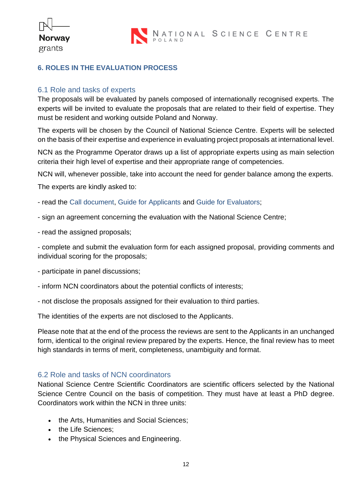

#### <span id="page-11-0"></span>**6. ROLES IN THE EVALUATION PROCESS**

#### <span id="page-11-1"></span>6.1 Role and tasks of experts

The proposals will be evaluated by panels composed of internationally recognised experts. The experts will be invited to evaluate the proposals that are related to their field of expertise. They must be resident and working outside Poland and Norway.

The experts will be chosen by the Council of National Science Centre. Experts will be selected on the basis of their expertise and experience in evaluating project proposals at international level.

NCN as the Programme Operator draws up a list of appropriate experts using as main selection criteria their high level of expertise and their appropriate range of competencies.

NCN will, whenever possible, take into account the need for gender balance among the experts.

The experts are kindly asked to:

- read the Call document, Guide for Applicants and Guide for Evaluators;
- sign an agreement concerning the evaluation with the National Science Centre;
- read the assigned proposals;

- complete and submit the evaluation form for each assigned proposal, providing comments and individual scoring for the proposals;

- participate in panel discussions;
- inform NCN coordinators about the potential conflicts of interests;
- not disclose the proposals assigned for their evaluation to third parties.

The identities of the experts are not disclosed to the Applicants.

Please note that at the end of the process the reviews are sent to the Applicants in an unchanged form, identical to the original review prepared by the experts. Hence, the final review has to meet high standards in terms of merit, completeness, unambiguity and format.

#### <span id="page-11-2"></span>6.2 Role and tasks of NCN coordinators

National Science Centre Scientific Coordinators are scientific officers selected by the National Science Centre Council on the basis of competition. They must have at least a PhD degree. Coordinators work within the NCN in three units:

- the Arts, Humanities and Social Sciences;
- the Life Sciences;
- the Physical Sciences and Engineering.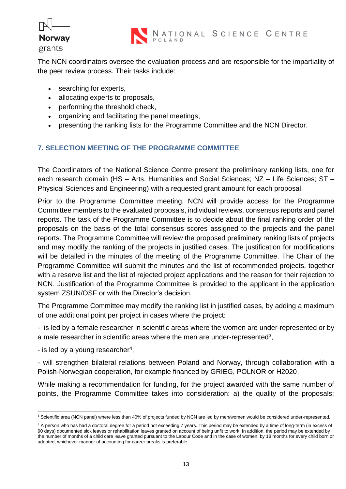

The NCN coordinators oversee the evaluation process and are responsible for the impartiality of the peer review process. Their tasks include:

- searching for experts,
- allocating experts to proposals,
- performing the threshold check,
- organizing and facilitating the panel meetings,
- presenting the ranking lists for the Programme Committee and the NCN Director.

#### <span id="page-12-0"></span>**7. SELECTION MEETING OF THE PROGRAMME COMMITTEE**

The Coordinators of the National Science Centre present the preliminary ranking lists, one for each research domain (HS – Arts, Humanities and Social Sciences; NZ – Life Sciences; ST – Physical Sciences and Engineering) with a requested grant amount for each proposal.

Prior to the Programme Committee meeting, NCN will provide access for the Programme Committee members to the evaluated proposals, individual reviews, consensus reports and panel reports. The task of the Programme Committee is to decide about the final ranking order of the proposals on the basis of the total consensus scores assigned to the projects and the panel reports. The Programme Committee will review the proposed preliminary ranking lists of projects and may modify the ranking of the projects in justified cases. The justification for modifications will be detailed in the minutes of the meeting of the Programme Committee. The Chair of the Programme Committee will submit the minutes and the list of recommended projects, together with a reserve list and the list of rejected project applications and the reason for their rejection to NCN. Justification of the Programme Committee is provided to the applicant in the application system ZSUN/OSF or with the Director's decision.

The Programme Committee may modify the ranking list in justified cases, by adding a maximum of one additional point per project in cases where the project:

- is led by a female researcher in scientific areas where the women are under-represented or by a male researcher in scientific areas where the men are under-represented<sup>3</sup>,

- is led by a young researcher<sup>4</sup>,

- will strengthen bilateral relations between Poland and Norway, through collaboration with a Polish-Norwegian cooperation, for example financed by GRIEG, POLNOR or H2020.

While making a recommendation for funding, for the project awarded with the same number of points, the Programme Committee takes into consideration: a) the quality of the proposals;

<sup>&</sup>lt;sup>3</sup> Scientific area (NCN panel) where less than 40% of projects funded by NCN are led by men/women would be considered under-represented.

<sup>&</sup>lt;sup>4</sup> A person who has had a doctoral degree for a period not exceeding 7 years. This period may be extended by a time of long-term (in excess of 90 days) documented sick leaves or rehabilitation leaves granted on account of being unfit to work. In addition, the period may be extended by the number of months of a child care leave granted pursuant to the Labour Code and in the case of women, by 18 months for every child born or adopted, whichever manner of accounting for career breaks is preferable.